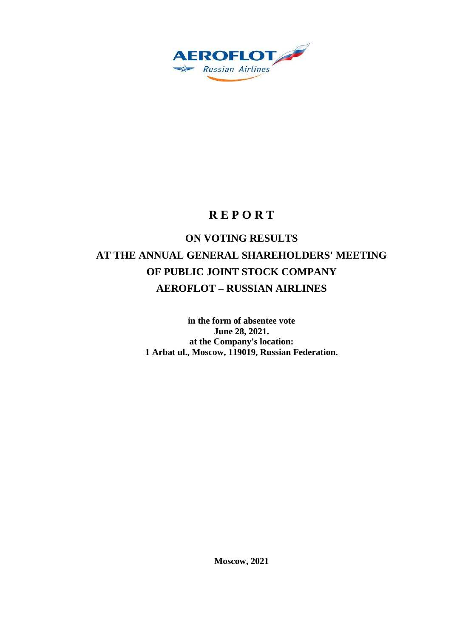

## **R E P O R T**

# **ON VOTING RESULTS AT THE ANNUAL GENERAL SHAREHOLDERS' MEETING OF PUBLIC JOINT STOCK COMPANY AEROFLOT – RUSSIAN AIRLINES**

**in the form of absentee vote June 28, 2021. at the Company's location: 1 Arbat ul., Moscow, 119019, Russian Federation.**

**Moscow, 2021**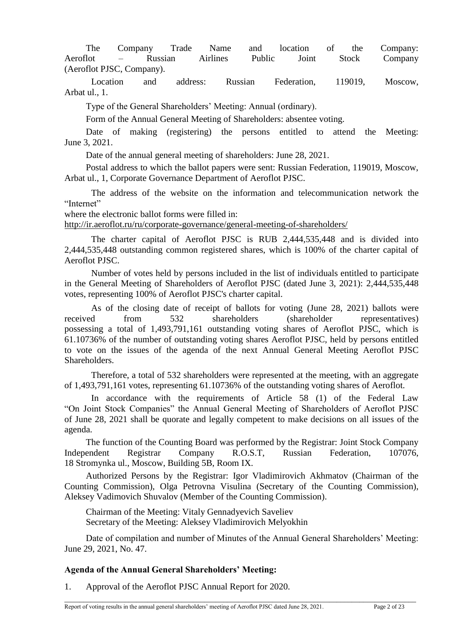The Company Trade Name and location of the Company: Aeroflot – Russian Airlines Public Joint Stock Company (Aeroflot PJSC, Company).

Location and address: Russian Federation, 119019, Moscow, Arbat ul., 1.

Type of the General Shareholders' Meeting: Annual (ordinary).

Form of the Annual General Meeting of Shareholders: absentee voting.

Date of making (registering) the persons entitled to attend the Meeting: June 3, 2021.

Date of the annual general meeting of shareholders: June 28, 2021.

Postal address to which the ballot papers were sent: Russian Federation, 119019, Moscow, Arbat ul., 1, Corporate Governance Department of Aeroflot PJSC.

The address of the website on the information and telecommunication network the "Internet"

where the electronic ballot forms were filled in:

<http://ir.aeroflot.ru/ru/corporate-governance/general-meeting-of-shareholders/>

The charter capital of Aeroflot PJSC is RUB 2,444,535,448 and is divided into 2,444,535,448 outstanding common registered shares, which is 100% of the charter capital of Aeroflot PJSC.

Number of votes held by persons included in the list of individuals entitled to participate in the General Meeting of Shareholders of Aeroflot PJSC (dated June 3, 2021): 2,444,535,448 votes, representing 100% of Aeroflot PJSC's charter capital.

As of the closing date of receipt of ballots for voting (June 28, 2021) ballots were received from 532 shareholders (shareholder representatives) possessing a total of 1,493,791,161 outstanding voting shares of Aeroflot PJSC, which is 61.10736% of the number of outstanding voting shares Aeroflot PJSC, held by persons entitled to vote on the issues of the agenda of the next Annual General Meeting Aeroflot PJSC Shareholders.

Therefore, a total of 532 shareholders were represented at the meeting, with an aggregate of 1,493,791,161 votes, representing 61.10736% of the outstanding voting shares of Aeroflot.

In accordance with the requirements of Article 58 (1) of the Federal Law "On Joint Stock Companies" the Annual General Meeting of Shareholders of Aeroflot PJSC of June 28, 2021 shall be quorate and legally competent to make decisions on all issues of the agenda.

The function of the Counting Board was performed by the Registrar: Joint Stock Company Independent Registrar Company R.O.S.T, Russian Federation, 107076, 18 Stromynka ul., Moscow, Building 5B, Room IX.

Authorized Persons by the Registrar: Igor Vladimirovich Akhmatov (Chairman of the Counting Commission), Olga Petrovna Visulina (Secretary of the Counting Commission), Aleksey Vadimovich Shuvalov (Member of the Counting Commission).

Chairman of the Meeting: Vitaly Gennadyevich Saveliev Secretary of the Meeting: Aleksey Vladimirovich Melyokhin

Date of compilation and number of Minutes of the Annual General Shareholders' Meeting: June 29, 2021, No. 47.

\_\_\_\_\_\_\_\_\_\_\_\_\_\_\_\_\_\_\_\_\_\_\_\_\_\_\_\_\_\_\_\_\_\_\_\_\_\_\_\_\_\_\_\_\_\_\_\_\_\_\_\_\_\_\_\_\_\_\_\_\_\_\_\_\_\_\_\_\_\_\_\_\_\_\_\_\_\_\_\_\_\_\_\_\_\_\_\_\_\_\_\_\_

## **Agenda of the Annual General Shareholders' Meeting:**

1. Approval of the Aeroflot PJSC Annual Report for 2020.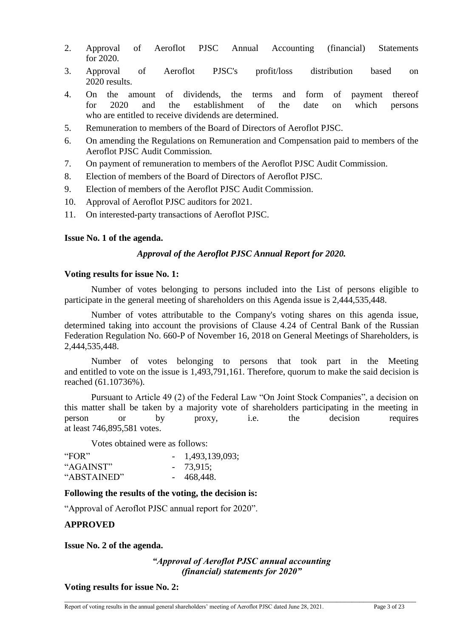- 2. Approval of Aeroflot PJSC Annual Accounting (financial) Statements for 2020.
- 3. Approval of Aeroflot PJSC's profit/loss distribution based on 2020 results.
- 4. On the amount of dividends, the terms and form of payment thereof for 2020 and the establishment of the date on which persons who are entitled to receive dividends are determined.
- 5. Remuneration to members of the Board of Directors of Aeroflot PJSC.
- 6. On amending the Regulations on Remuneration and Compensation paid to members of the Aeroflot PJSC Audit Commission.
- 7. On payment of remuneration to members of the Aeroflot PJSC Audit Commission.
- 8. Election of members of the Board of Directors of Aeroflot PJSC.
- 9. Election of members of the Aeroflot PJSC Audit Commission.
- 10. Approval of Aeroflot PJSC auditors for 2021.
- 11. On interested-party transactions of Aeroflot PJSC.

## **Issue No. 1 of the agenda.**

## *Approval of the Aeroflot PJSC Annual Report for 2020.*

## **Voting results for issue No. 1:**

Number of votes belonging to persons included into the List of persons eligible to participate in the general meeting of shareholders on this Agenda issue is 2,444,535,448.

Number of votes attributable to the Company's voting shares on this agenda issue, determined taking into account the provisions of Clause 4.24 of Central Bank of the Russian Federation Regulation No. 660-P of November 16, 2018 on General Meetings of Shareholders, is 2,444,535,448.

Number of votes belonging to persons that took part in the Meeting and entitled to vote on the issue is 1,493,791,161. Therefore, quorum to make the said decision is reached (61.10736%).

Pursuant to Article 49 (2) of the Federal Law "On Joint Stock Companies", a decision on this matter shall be taken by a majority vote of shareholders participating in the meeting in person or by proxy, i.e. the decision requires at least 746,895,581 votes.

Votes obtained were as follows:

| "FOR"       | $-1,493,139,093;$ |
|-------------|-------------------|
| "AGAINST"   | $-73,915;$        |
| "ABSTAINED" | $-468,448.$       |

## **Following the results of the voting, the decision is:**

"Approval of Aeroflot PJSC annual report for 2020".

## **APPROVED**

**Issue No. 2 of the agenda.**

## *"Approval of Aeroflot PJSC annual accounting (financial) statements for 2020"*

\_\_\_\_\_\_\_\_\_\_\_\_\_\_\_\_\_\_\_\_\_\_\_\_\_\_\_\_\_\_\_\_\_\_\_\_\_\_\_\_\_\_\_\_\_\_\_\_\_\_\_\_\_\_\_\_\_\_\_\_\_\_\_\_\_\_\_\_\_\_\_\_\_\_\_\_\_\_\_\_\_\_\_\_\_\_\_\_\_\_\_\_\_

**Voting results for issue No. 2:**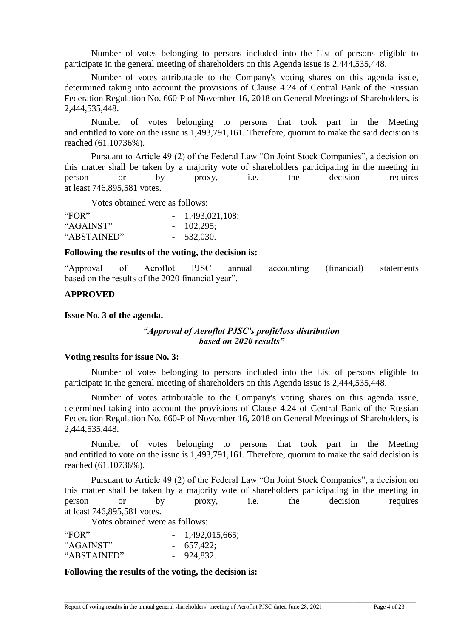Number of votes belonging to persons included into the List of persons eligible to participate in the general meeting of shareholders on this Agenda issue is 2,444,535,448.

Number of votes attributable to the Company's voting shares on this agenda issue, determined taking into account the provisions of Clause 4.24 of Central Bank of the Russian Federation Regulation No. 660-P of November 16, 2018 on General Meetings of Shareholders, is 2,444,535,448.

Number of votes belonging to persons that took part in the Meeting and entitled to vote on the issue is 1,493,791,161. Therefore, quorum to make the said decision is reached (61.10736%).

Pursuant to Article 49 (2) of the Federal Law "On Joint Stock Companies", a decision on this matter shall be taken by a majority vote of shareholders participating in the meeting in person or by proxy, i.e. the decision requires at least 746,895,581 votes.

Votes obtained were as follows:

| "FOR"       | $-1,493,021,108;$ |
|-------------|-------------------|
| "AGAINST"   | $-102,295;$       |
| "ABSTAINED" | $-532,030.$       |

#### **Following the results of the voting, the decision is:**

"Approval of Aeroflot PJSC annual accounting (financial) statements based on the results of the 2020 financial year".

## **APPROVED**

#### **Issue No. 3 of the agenda.**

## *"Approval of Aeroflot PJSC's profit/loss distribution based on 2020 results"*

#### **Voting results for issue No. 3:**

Number of votes belonging to persons included into the List of persons eligible to participate in the general meeting of shareholders on this Agenda issue is 2,444,535,448.

Number of votes attributable to the Company's voting shares on this agenda issue, determined taking into account the provisions of Clause 4.24 of Central Bank of the Russian Federation Regulation No. 660-P of November 16, 2018 on General Meetings of Shareholders, is 2,444,535,448.

Number of votes belonging to persons that took part in the Meeting and entitled to vote on the issue is 1,493,791,161. Therefore, quorum to make the said decision is reached (61.10736%).

Pursuant to Article 49 (2) of the Federal Law "On Joint Stock Companies", a decision on this matter shall be taken by a majority vote of shareholders participating in the meeting in person or by proxy, i.e. the decision requires at least 746,895,581 votes.

\_\_\_\_\_\_\_\_\_\_\_\_\_\_\_\_\_\_\_\_\_\_\_\_\_\_\_\_\_\_\_\_\_\_\_\_\_\_\_\_\_\_\_\_\_\_\_\_\_\_\_\_\_\_\_\_\_\_\_\_\_\_\_\_\_\_\_\_\_\_\_\_\_\_\_\_\_\_\_\_\_\_\_\_\_\_\_\_\_\_\_\_\_

Votes obtained were as follows:

| "FOR"       | $-1,492,015,665;$ |
|-------------|-------------------|
| "AGAINST"   | $-657,422;$       |
| "ABSTAINED" | $-924,832.$       |

#### **Following the results of the voting, the decision is:**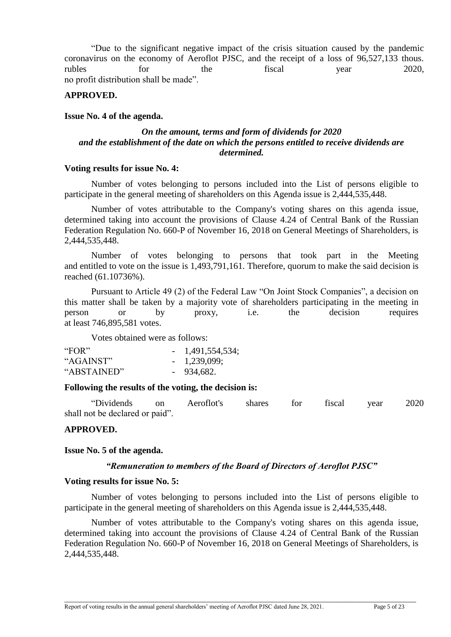"Due to the significant negative impact of the crisis situation caused by the pandemic coronavirus on the economy of Aeroflot PJSC, and the receipt of a loss of 96,527,133 thous. rubles for the fiscal year 2020, no profit distribution shall be made".

## **APPROVED.**

#### **Issue No. 4 of the agenda.**

## *On the amount, terms and form of dividends for 2020 and the establishment of the date on which the persons entitled to receive dividends are determined.*

#### **Voting results for issue No. 4:**

Number of votes belonging to persons included into the List of persons eligible to participate in the general meeting of shareholders on this Agenda issue is 2,444,535,448.

Number of votes attributable to the Company's voting shares on this agenda issue, determined taking into account the provisions of Clause 4.24 of Central Bank of the Russian Federation Regulation No. 660-P of November 16, 2018 on General Meetings of Shareholders, is 2,444,535,448.

Number of votes belonging to persons that took part in the Meeting and entitled to vote on the issue is 1,493,791,161. Therefore, quorum to make the said decision is reached (61.10736%).

Pursuant to Article 49 (2) of the Federal Law "On Joint Stock Companies", a decision on this matter shall be taken by a majority vote of shareholders participating in the meeting in person or by proxy, i.e. the decision requires at least 746,895,581 votes.

Votes obtained were as follows:

| "FOR"       | $-1,491,554,534;$ |
|-------------|-------------------|
| "AGAINST"   | $-1,239,099;$     |
| "ABSTAINED" | $-934,682.$       |

## **Following the results of the voting, the decision is:**

"Dividends on Aeroflot's shares for fiscal year 2020 shall not be declared or paid".

## **APPROVED.**

#### **Issue No. 5 of the agenda.**

## *"Remuneration to members of the Board of Directors of Aeroflot PJSC"*

#### **Voting results for issue No. 5:**

Number of votes belonging to persons included into the List of persons eligible to participate in the general meeting of shareholders on this Agenda issue is 2,444,535,448.

Number of votes attributable to the Company's voting shares on this agenda issue, determined taking into account the provisions of Clause 4.24 of Central Bank of the Russian Federation Regulation No. 660-P of November 16, 2018 on General Meetings of Shareholders, is 2,444,535,448.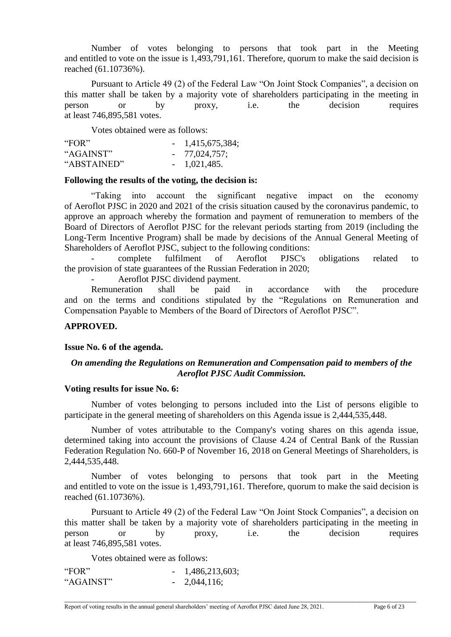Number of votes belonging to persons that took part in the Meeting and entitled to vote on the issue is 1,493,791,161. Therefore, quorum to make the said decision is reached (61.10736%).

Pursuant to Article 49 (2) of the Federal Law "On Joint Stock Companies", a decision on this matter shall be taken by a majority vote of shareholders participating in the meeting in person or by proxy, i.e. the decision requires at least 746,895,581 votes.

Votes obtained were as follows:

| "FOR"       | $-1,415,675,384;$ |
|-------------|-------------------|
| "AGAINST"   | $-77,024,757;$    |
| "ABSTAINED" | $-1,021,485.$     |

#### **Following the results of the voting, the decision is:**

"Taking into account the significant negative impact on the economy of Aeroflot PJSC in 2020 and 2021 of the crisis situation caused by the coronavirus pandemic, to approve an approach whereby the formation and payment of remuneration to members of the Board of Directors of Aeroflot PJSC for the relevant periods starting from 2019 (including the Long-Term Incentive Program) shall be made by decisions of the Annual General Meeting of Shareholders of Aeroflot PJSC, subject to the following conditions:

- complete fulfilment of Aeroflot PJSC's obligations related to the provision of state guarantees of the Russian Federation in 2020;

Aeroflot PJSC dividend payment.

Remuneration shall be paid in accordance with the procedure and on the terms and conditions stipulated by the "Regulations on Remuneration and Compensation Payable to Members of the Board of Directors of Aeroflot PJSC".

## **APPROVED.**

#### **Issue No. 6 of the agenda.**

## *On amending the Regulations on Remuneration and Compensation paid to members of the Aeroflot PJSC Audit Commission.*

#### **Voting results for issue No. 6:**

Number of votes belonging to persons included into the List of persons eligible to participate in the general meeting of shareholders on this Agenda issue is 2,444,535,448.

Number of votes attributable to the Company's voting shares on this agenda issue, determined taking into account the provisions of Clause 4.24 of Central Bank of the Russian Federation Regulation No. 660-P of November 16, 2018 on General Meetings of Shareholders, is 2,444,535,448.

Number of votes belonging to persons that took part in the Meeting and entitled to vote on the issue is 1,493,791,161. Therefore, quorum to make the said decision is reached (61.10736%).

Pursuant to Article 49 (2) of the Federal Law "On Joint Stock Companies", a decision on this matter shall be taken by a majority vote of shareholders participating in the meeting in person or by proxy, i.e. the decision requires at least 746,895,581 votes.

Votes obtained were as follows:

| "FOR"     | $-1,486,213,603;$ |
|-----------|-------------------|
| "AGAINST" | $-2,044,116;$     |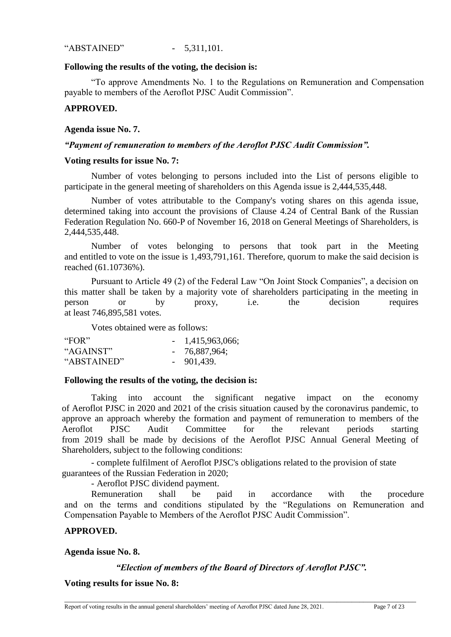"ABSTAINED" - 5,311,101.

#### **Following the results of the voting, the decision is:**

"To approve Amendments No. 1 to the Regulations on Remuneration and Compensation payable to members of the Aeroflot PJSC Audit Commission".

## **APPROVED.**

#### **Agenda issue No. 7.**

## *"Payment of remuneration to members of the Aeroflot PJSC Audit Commission".*

#### **Voting results for issue No. 7:**

Number of votes belonging to persons included into the List of persons eligible to participate in the general meeting of shareholders on this Agenda issue is 2,444,535,448.

Number of votes attributable to the Company's voting shares on this agenda issue, determined taking into account the provisions of Clause 4.24 of Central Bank of the Russian Federation Regulation No. 660-P of November 16, 2018 on General Meetings of Shareholders, is 2,444,535,448.

Number of votes belonging to persons that took part in the Meeting and entitled to vote on the issue is 1,493,791,161. Therefore, quorum to make the said decision is reached (61.10736%).

Pursuant to Article 49 (2) of the Federal Law "On Joint Stock Companies", a decision on this matter shall be taken by a majority vote of shareholders participating in the meeting in person or by proxy, i.e. the decision requires at least 746,895,581 votes.

Votes obtained were as follows:

| "FOR"       | $-1,415,963,066;$ |
|-------------|-------------------|
| "AGAINST"   | $-76,887,964;$    |
| "ABSTAINED" | $-901,439.$       |

## **Following the results of the voting, the decision is:**

Taking into account the significant negative impact on the economy of Aeroflot PJSC in 2020 and 2021 of the crisis situation caused by the coronavirus pandemic, to approve an approach whereby the formation and payment of remuneration to members of the Aeroflot PJSC Audit Committee for the relevant periods starting from 2019 shall be made by decisions of the Aeroflot PJSC Annual General Meeting of Shareholders, subject to the following conditions:

- complete fulfilment of Aeroflot PJSC's obligations related to the provision of state guarantees of the Russian Federation in 2020;

- Aeroflot PJSC dividend payment.

Remuneration shall be paid in accordance with the procedure and on the terms and conditions stipulated by the "Regulations on Remuneration and Compensation Payable to Members of the Aeroflot PJSC Audit Commission".

#### **APPROVED.**

## **Agenda issue No. 8.**

## *"Election of members of the Board of Directors of Aeroflot PJSC".*

\_\_\_\_\_\_\_\_\_\_\_\_\_\_\_\_\_\_\_\_\_\_\_\_\_\_\_\_\_\_\_\_\_\_\_\_\_\_\_\_\_\_\_\_\_\_\_\_\_\_\_\_\_\_\_\_\_\_\_\_\_\_\_\_\_\_\_\_\_\_\_\_\_\_\_\_\_\_\_\_\_\_\_\_\_\_\_\_\_\_\_\_\_

**Voting results for issue No. 8:**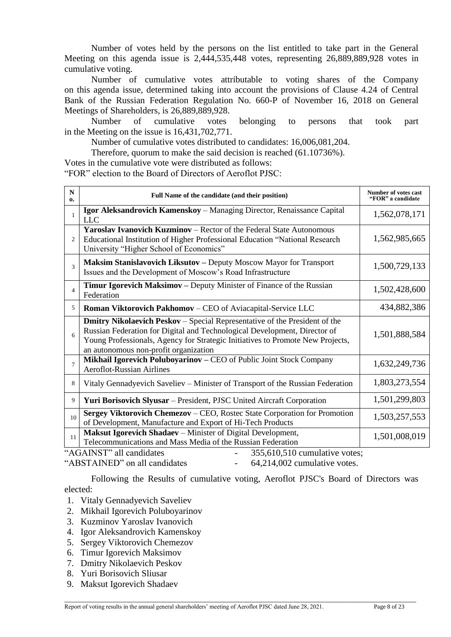Number of votes held by the persons on the list entitled to take part in the General Meeting on this agenda issue is 2,444,535,448 votes, representing 26,889,889,928 votes in cumulative voting.

Number of cumulative votes attributable to voting shares of the Company on this agenda issue, determined taking into account the provisions of Clause 4.24 of Central Bank of the Russian Federation Regulation No. 660-P of November 16, 2018 on General Meetings of Shareholders, is 26,889,889,928.

Number of cumulative votes belonging to persons that took part in the Meeting on the issue is 16,431,702,771.

Number of cumulative votes distributed to candidates: 16,006,081,204.

Therefore, quorum to make the said decision is reached (61.10736%).

Votes in the cumulative vote were distributed as follows:

"FOR" election to the Board of Directors of Aeroflot PJSC:

| N<br>0.        | Full Name of the candidate (and their position)                                                                                                                                                                                                                                           | <b>Number of votes cast</b><br>"FOR" a candidate |
|----------------|-------------------------------------------------------------------------------------------------------------------------------------------------------------------------------------------------------------------------------------------------------------------------------------------|--------------------------------------------------|
|                | Igor Aleksandrovich Kamenskoy - Managing Director, Renaissance Capital<br><b>LLC</b>                                                                                                                                                                                                      | 1,562,078,171                                    |
| 2              | <b>Yaroslav Ivanovich Kuzminov</b> – Rector of the Federal State Autonomous<br>Educational Institution of Higher Professional Education "National Research<br>University "Higher School of Economics"                                                                                     | 1,562,985,665                                    |
| 3              | Maksim Stanislavovich Liksutov - Deputy Moscow Mayor for Transport<br>Issues and the Development of Moscow's Road Infrastructure                                                                                                                                                          | 1,500,729,133                                    |
| $\overline{4}$ | Timur Igorevich Maksimov – Deputy Minister of Finance of the Russian<br>Federation                                                                                                                                                                                                        | 1,502,428,600                                    |
| 5              | Roman Viktorovich Pakhomov - CEO of Aviacapital-Service LLC                                                                                                                                                                                                                               | 434,882,386                                      |
| 6              | <b>Dmitry Nikolaevich Peskov</b> – Special Representative of the President of the<br>Russian Federation for Digital and Technological Development, Director of<br>Young Professionals, Agency for Strategic Initiatives to Promote New Projects,<br>an autonomous non-profit organization | 1,501,888,584                                    |
| $\tau$         | Mikhail Igorevich Poluboyarinov - CEO of Public Joint Stock Company<br><b>Aeroflot-Russian Airlines</b>                                                                                                                                                                                   | 1,632,249,736                                    |
| 8              | Vitaly Gennadyevich Saveliev – Minister of Transport of the Russian Federation                                                                                                                                                                                                            | 1,803,273,554                                    |
| 9              | Yuri Borisovich Slyusar - President, PJSC United Aircraft Corporation                                                                                                                                                                                                                     | 1,501,299,803                                    |
| 10             | Sergey Viktorovich Chemezov – CEO, Rostec State Corporation for Promotion<br>of Development, Manufacture and Export of Hi-Tech Products                                                                                                                                                   | 1,503,257,553                                    |
| 11             | Maksut Igorevich Shadaev - Minister of Digital Development,<br>Telecommunications and Mass Media of the Russian Federation                                                                                                                                                                | 1,501,008,019                                    |
|                | "AGAINST" all candidates<br>355,610,510 cumulative votes;                                                                                                                                                                                                                                 |                                                  |

"ABSTAINED" on all candidates - 64,214,002 cumulative votes.

Following the Results of cumulative voting, Aeroflot PJSC's Board of Directors was elected:

- 1. Vitaly Gennadyevich Saveliev
- 2. Mikhail Igorevich Poluboyarinov
- 3. Kuzminov Yaroslav Ivanovich
- 4. Igor Aleksandrovich Kamenskoy
- 5. Sergey Viktorovich Chemezov
- 6. Timur Igorevich Maksimov
- 7. Dmitry Nikolaevich Peskov
- 8. Yuri Borisovich Sliusar
- 9. Maksut Igorevich Shadaev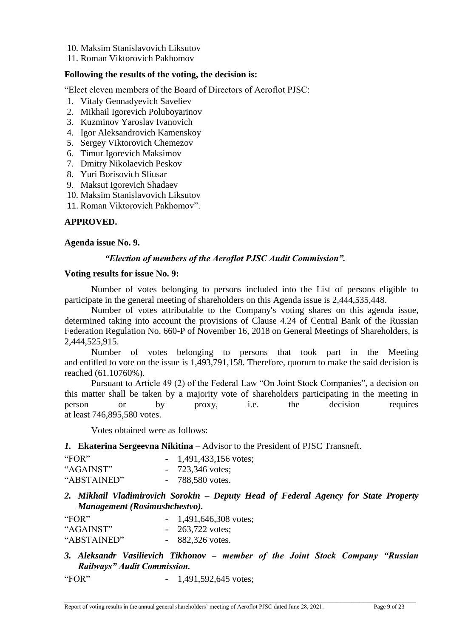- 10. Maksim Stanislavovich Liksutov
- 11. Roman Viktorovich Pakhomov

#### **Following the results of the voting, the decision is:**

"Elect eleven members of the Board of Directors of Aeroflot PJSC:

- 1. Vitaly Gennadyevich Saveliev
- 2. Mikhail Igorevich Poluboyarinov
- 3. Kuzminov Yaroslav Ivanovich
- 4. Igor Aleksandrovich Kamenskoy
- 5. Sergey Viktorovich Chemezov
- 6. Timur Igorevich Maksimov
- 7. Dmitry Nikolaevich Peskov
- 8. Yuri Borisovich Sliusar
- 9. Maksut Igorevich Shadaev
- 10. Maksim Stanislavovich Liksutov
- 11. Roman Viktorovich Pakhomov".

## **APPROVED.**

#### **Agenda issue No. 9.**

#### *"Election of members of the Aeroflot PJSC Audit Commission".*

#### **Voting results for issue No. 9:**

Number of votes belonging to persons included into the List of persons eligible to participate in the general meeting of shareholders on this Agenda issue is 2,444,535,448.

Number of votes attributable to the Company's voting shares on this agenda issue, determined taking into account the provisions of Clause 4.24 of Central Bank of the Russian Federation Regulation No. 660-P of November 16, 2018 on General Meetings of Shareholders, is 2,444,525,915.

Number of votes belonging to persons that took part in the Meeting and entitled to vote on the issue is 1,493,791,158. Therefore, quorum to make the said decision is reached (61.10760%).

Pursuant to Article 49 (2) of the Federal Law "On Joint Stock Companies", a decision on this matter shall be taken by a majority vote of shareholders participating in the meeting in person or by proxy, i.e. the decision requires at least 746,895,580 votes.

Votes obtained were as follows:

#### *1.* **Ekaterina Sergeevna Nikitina** – Advisor to the President of PJSC Transneft.

| "FOR"       | $-1,491,433,156$ votes; |
|-------------|-------------------------|
| "AGAINST"   | $-723,346$ votes;       |
| "ABSTAINED" | $-788,580$ votes.       |

*2. Mikhail Vladimirovich Sorokin – Deputy Head of Federal Agency for State Property Management (Rosimushchestvo).*

| "FOR"       | $-1,491,646,308$ votes;   |
|-------------|---------------------------|
| "AGAINST"   | $-263,722 \text{ votes};$ |
| "ABSTAINED" | $-882,326$ votes.         |

## *3. Aleksandr Vasilievich Tikhonov – member of the Joint Stock Company "Russian Railways" Audit Commission.*

\_\_\_\_\_\_\_\_\_\_\_\_\_\_\_\_\_\_\_\_\_\_\_\_\_\_\_\_\_\_\_\_\_\_\_\_\_\_\_\_\_\_\_\_\_\_\_\_\_\_\_\_\_\_\_\_\_\_\_\_\_\_\_\_\_\_\_\_\_\_\_\_\_\_\_\_\_\_\_\_\_\_\_\_\_\_\_\_\_\_\_\_\_

"FOR" - 1,491,592,645 votes;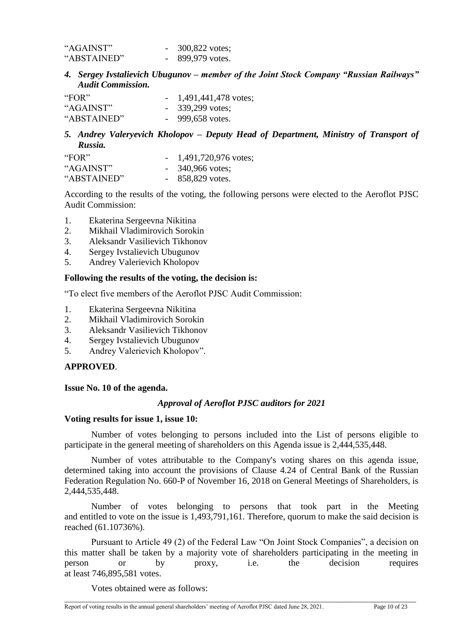| "AGAINST"   | 300,822 votes; |
|-------------|----------------|
| "ABSTAINED" | 899,979 votes. |

*4. Sergey Ivstalievich Ubugunov – member of the Joint Stock Company "Russian Railways" Audit Commission.*

| "FOR"       | $-1,491,441,478$ votes; |
|-------------|-------------------------|
| "AGAINST"   | $-339,299$ votes;       |
| "ABSTAINED" | $-999,658$ votes.       |

## *5. Andrey Valeryevich Kholopov – Deputy Head of Department, Ministry of Transport of Russia.*

| "FOR"       | $-1,491,720,976$ votes; |
|-------------|-------------------------|
| "AGAINST"   | $-340,966$ votes;       |
| "ABSTAINED" | $-858,829$ votes.       |

According to the results of the voting, the following persons were elected to the Aeroflot PJSC Audit Commission:

- 1. Ekaterina Sergeevna Nikitina
- 2. Mikhail Vladimirovich Sorokin
- 3. Aleksandr Vasilievich Tikhonov
- 4. Sergey Ivstalievich Ubugunov
- 5. Andrey Valerievich Kholopov

## **Following the results of the voting, the decision is:**

"To elect five members of the Aeroflot PJSC Audit Commission:

- 1. Ekaterina Sergeevna Nikitina
- 2. Mikhail Vladimirovich Sorokin
- 3. Aleksandr Vasilievich Tikhonov
- 4. Sergey Ivstalievich Ubugunov
- 5. Andrey Valerievich Kholopov".

## **APPROVED**.

**Issue No. 10 of the agenda.** 

## *Approval of Aeroflot PJSC auditors for 2021*

## **Voting results for issue 1, issue 10:**

Number of votes belonging to persons included into the List of persons eligible to participate in the general meeting of shareholders on this Agenda issue is 2,444,535,448.

Number of votes attributable to the Company's voting shares on this agenda issue, determined taking into account the provisions of Clause 4.24 of Central Bank of the Russian Federation Regulation No. 660-P of November 16, 2018 on General Meetings of Shareholders, is 2,444,535,448.

Number of votes belonging to persons that took part in the Meeting and entitled to vote on the issue is 1,493,791,161. Therefore, quorum to make the said decision is reached (61.10736%).

Pursuant to Article 49 (2) of the Federal Law "On Joint Stock Companies", a decision on this matter shall be taken by a majority vote of shareholders participating in the meeting in person or by proxy, i.e. the decision requires at least 746,895,581 votes.

\_\_\_\_\_\_\_\_\_\_\_\_\_\_\_\_\_\_\_\_\_\_\_\_\_\_\_\_\_\_\_\_\_\_\_\_\_\_\_\_\_\_\_\_\_\_\_\_\_\_\_\_\_\_\_\_\_\_\_\_\_\_\_\_\_\_\_\_\_\_\_\_\_\_\_\_\_\_\_\_\_\_\_\_\_\_\_\_\_\_\_\_\_

Votes obtained were as follows: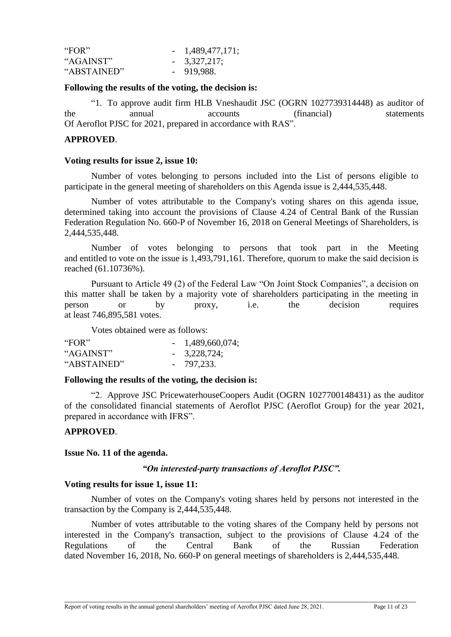| "FOR"       | $-1,489,477,171;$ |
|-------------|-------------------|
| "AGAINST"   | $-3,327,217;$     |
| "ABSTAINED" | $-919,988.$       |

#### **Following the results of the voting, the decision is:**

"1. To approve audit firm HLB Vneshaudit JSC (OGRN 1027739314448) as auditor of the annual accounts (financial) statements Of Aeroflot PJSC for 2021, prepared in accordance with RAS".

## **APPROVED**.

#### **Voting results for issue 2, issue 10:**

Number of votes belonging to persons included into the List of persons eligible to participate in the general meeting of shareholders on this Agenda issue is 2,444,535,448.

Number of votes attributable to the Company's voting shares on this agenda issue, determined taking into account the provisions of Clause 4.24 of Central Bank of the Russian Federation Regulation No. 660-P of November 16, 2018 on General Meetings of Shareholders, is 2,444,535,448.

Number of votes belonging to persons that took part in the Meeting and entitled to vote on the issue is 1,493,791,161. Therefore, quorum to make the said decision is reached (61.10736%).

Pursuant to Article 49 (2) of the Federal Law "On Joint Stock Companies", a decision on this matter shall be taken by a majority vote of shareholders participating in the meeting in person or by proxy, i.e. the decision requires at least 746,895,581 votes.

Votes obtained were as follows:

| "FOR"       | $-1,489,660,074;$ |
|-------------|-------------------|
| "AGAINST"   | $-3,228,724;$     |
| "ABSTAINED" | $-797,233.$       |

## **Following the results of the voting, the decision is:**

"2. Approve JSC PricewaterhouseCoopers Audit (OGRN 1027700148431) as the auditor of the consolidated financial statements of Aeroflot PJSC (Aeroflot Group) for the year 2021, prepared in accordance with IFRS".

## **APPROVED**.

## **Issue No. 11 of the agenda.**

## *"On interested-party transactions of Aeroflot PJSC".*

## **Voting results for issue 1, issue 11:**

Number of votes on the Company's voting shares held by persons not interested in the transaction by the Company is 2,444,535,448.

Number of votes attributable to the voting shares of the Company held by persons not interested in the Company's transaction, subject to the provisions of Clause 4.24 of the Regulations of the Central Bank of the Russian Federation dated November 16, 2018, No. 660-P on general meetings of shareholders is 2,444,535,448.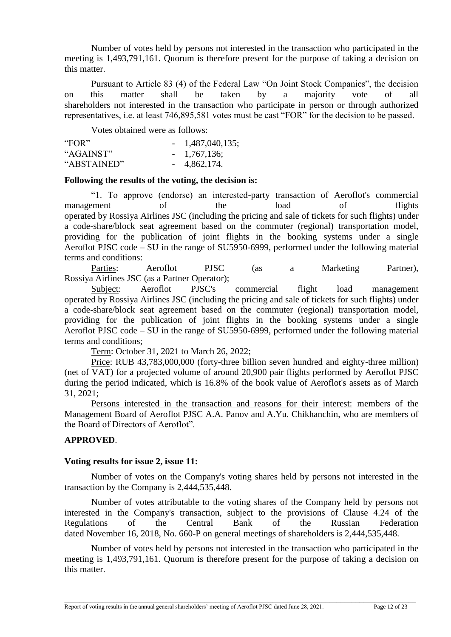Number of votes held by persons not interested in the transaction who participated in the meeting is 1,493,791,161. Quorum is therefore present for the purpose of taking a decision on this matter.

Pursuant to Article 83 (4) of the Federal Law "On Joint Stock Companies", the decision on this matter shall be taken by a majority vote of all shareholders not interested in the transaction who participate in person or through authorized representatives, i.e. at least 746,895,581 votes must be cast "FOR" for the decision to be passed.

Votes obtained were as follows:

| "FOR"       | $-1,487,040,135;$ |
|-------------|-------------------|
| "AGAINST"   | $-1,767,136;$     |
| "ABSTAINED" | $-4,862,174.$     |

#### **Following the results of the voting, the decision is:**

"1. To approve (endorse) an interested-party transaction of Aeroflot's commercial management of the load of flights operated by Rossiya Airlines JSC (including the pricing and sale of tickets for such flights) under a code-share/block seat agreement based on the commuter (regional) transportation model, providing for the publication of joint flights in the booking systems under a single Aeroflot PJSC code – SU in the range of SU5950-6999, performed under the following material terms and conditions:

Parties: Aeroflot PJSC (as a Marketing Partner), Rossiya Airlines JSC (as a Partner Operator);

Subject: Aeroflot PJSC's commercial flight load management operated by Rossiya Airlines JSC (including the pricing and sale of tickets for such flights) under a code-share/block seat agreement based on the commuter (regional) transportation model, providing for the publication of joint flights in the booking systems under a single Aeroflot PJSC code – SU in the range of SU5950-6999, performed under the following material terms and conditions;

Term: October 31, 2021 to March 26, 2022;

Price: RUB 43,783,000,000 (forty-three billion seven hundred and eighty-three million) (net of VAT) for a projected volume of around 20,900 pair flights performed by Aeroflot PJSC during the period indicated, which is 16.8% of the book value of Aeroflot's assets as of March 31, 2021;

Persons interested in the transaction and reasons for their interest: members of the Management Board of Aeroflot PJSC A.A. Panov and A.Yu. Chikhanchin, who are members of the Board of Directors of Aeroflot".

## **APPROVED**.

#### **Voting results for issue 2, issue 11:**

Number of votes on the Company's voting shares held by persons not interested in the transaction by the Company is 2,444,535,448.

Number of votes attributable to the voting shares of the Company held by persons not interested in the Company's transaction, subject to the provisions of Clause 4.24 of the Regulations of the Central Bank of the Russian Federation dated November 16, 2018, No. 660-P on general meetings of shareholders is 2,444,535,448.

Number of votes held by persons not interested in the transaction who participated in the meeting is 1,493,791,161. Quorum is therefore present for the purpose of taking a decision on this matter.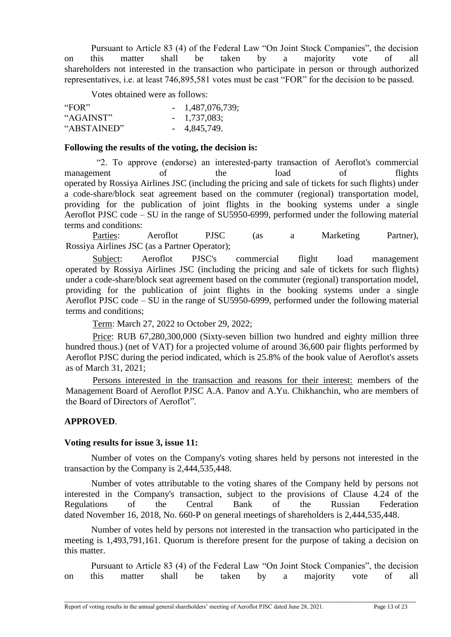Pursuant to Article 83 (4) of the Federal Law "On Joint Stock Companies", the decision on this matter shall be taken by a majority vote of all shareholders not interested in the transaction who participate in person or through authorized representatives, i.e. at least 746,895,581 votes must be cast "FOR" for the decision to be passed.

Votes obtained were as follows:

| "FOR"       | $-1,487,076,739;$ |
|-------------|-------------------|
| "AGAINST"   | $-1,737,083;$     |
| "ABSTAINED" | $-4,845,749.$     |

## **Following the results of the voting, the decision is:**

"2. To approve (endorse) an interested-party transaction of Aeroflot's commercial management of the load of flights operated by Rossiya Airlines JSC (including the pricing and sale of tickets for such flights) under a code-share/block seat agreement based on the commuter (regional) transportation model, providing for the publication of joint flights in the booking systems under a single Aeroflot PJSC code – SU in the range of SU5950-6999, performed under the following material terms and conditions:

Parties: Aeroflot PJSC (as a Marketing Partner), Rossiya Airlines JSC (as a Partner Operator);

Subject: Aeroflot PJSC's commercial flight load management operated by Rossiya Airlines JSC (including the pricing and sale of tickets for such flights) under a code-share/block seat agreement based on the commuter (regional) transportation model, providing for the publication of joint flights in the booking systems under a single Aeroflot PJSC code – SU in the range of SU5950-6999, performed under the following material terms and conditions;

Term: March 27, 2022 to October 29, 2022;

Price: RUB 67,280,300,000 (Sixty-seven billion two hundred and eighty million three hundred thous.) (net of VAT) for a projected volume of around 36,600 pair flights performed by Aeroflot PJSC during the period indicated, which is 25.8% of the book value of Aeroflot's assets as of March 31, 2021;

Persons interested in the transaction and reasons for their interest: members of the Management Board of Aeroflot PJSC A.A. Panov and A.Yu. Chikhanchin, who are members of the Board of Directors of Aeroflot".

## **APPROVED**.

## **Voting results for issue 3, issue 11:**

Number of votes on the Company's voting shares held by persons not interested in the transaction by the Company is 2,444,535,448.

Number of votes attributable to the voting shares of the Company held by persons not interested in the Company's transaction, subject to the provisions of Clause 4.24 of the Regulations of the Central Bank of the Russian Federation dated November 16, 2018, No. 660-P on general meetings of shareholders is 2,444,535,448.

Number of votes held by persons not interested in the transaction who participated in the meeting is 1,493,791,161. Quorum is therefore present for the purpose of taking a decision on this matter.

Pursuant to Article 83 (4) of the Federal Law "On Joint Stock Companies", the decision on this matter shall be taken by a majority vote of all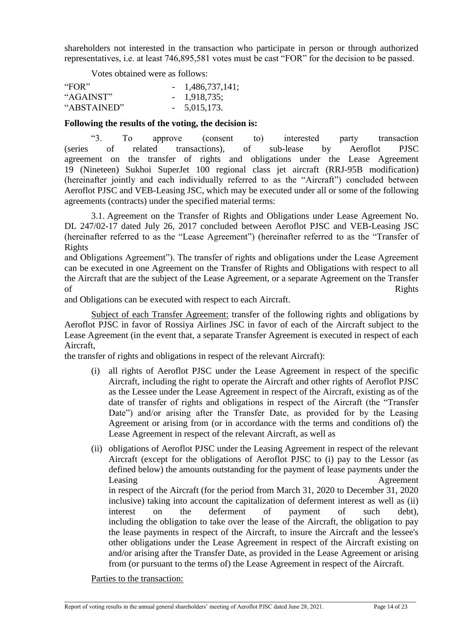shareholders not interested in the transaction who participate in person or through authorized representatives, i.e. at least 746,895,581 votes must be cast "FOR" for the decision to be passed.

Votes obtained were as follows:

| "FOR"       | $-1,486,737,141;$ |
|-------------|-------------------|
| "AGAINST"   | $-1,918,735;$     |
| "ABSTAINED" | $-5,015,173.$     |

## **Following the results of the voting, the decision is:**

"3. To approve (consent to) interested party transaction (series of related transactions), of sub-lease by Aeroflot PJSC agreement on the transfer of rights and obligations under the Lease Agreement 19 (Nineteen) Sukhoi SuperJet 100 regional class jet aircraft (RRJ-95B modification) (hereinafter jointly and each individually referred to as the "Aircraft") concluded between Aeroflot PJSC and VEB-Leasing JSC, which may be executed under all or some of the following agreements (contracts) under the specified material terms:

3.1. Agreement on the Transfer of Rights and Obligations under Lease Agreement No. DL 247/02-17 dated July 26, 2017 concluded between Aeroflot PJSC and VEB-Leasing JSC (hereinafter referred to as the "Lease Agreement") (hereinafter referred to as the "Transfer of Rights

and Obligations Agreement"). The transfer of rights and obligations under the Lease Agreement can be executed in one Agreement on the Transfer of Rights and Obligations with respect to all the Aircraft that are the subject of the Lease Agreement, or a separate Agreement on the Transfer of Rights

and Obligations can be executed with respect to each Aircraft.

Subject of each Transfer Agreement: transfer of the following rights and obligations by Aeroflot PJSC in favor of Rossiya Airlines JSC in favor of each of the Aircraft subject to the Lease Agreement (in the event that, a separate Transfer Agreement is executed in respect of each Aircraft,

the transfer of rights and obligations in respect of the relevant Aircraft):

- (i) all rights of Aeroflot PJSC under the Lease Agreement in respect of the specific Aircraft, including the right to operate the Aircraft and other rights of Aeroflot PJSC as the Lessee under the Lease Agreement in respect of the Aircraft, existing as of the date of transfer of rights and obligations in respect of the Aircraft (the "Transfer Date") and/or arising after the Transfer Date, as provided for by the Leasing Agreement or arising from (or in accordance with the terms and conditions of) the Lease Agreement in respect of the relevant Aircraft, as well as
- (ii) obligations of Aeroflot PJSC under the Leasing Agreement in respect of the relevant Aircraft (except for the obligations of Aeroflot PJSC to (i) pay to the Lessor (as defined below) the amounts outstanding for the payment of lease payments under the Leasing Agreement Agreement in respect of the Aircraft (for the period from March 31, 2020 to December 31, 2020 inclusive) taking into account the capitalization of deferment interest as well as (ii) interest on the deferment of payment of such debt), including the obligation to take over the lease of the Aircraft, the obligation to pay the lease payments in respect of the Aircraft, to insure the Aircraft and the lessee's other obligations under the Lease Agreement in respect of the Aircraft existing on and/or arising after the Transfer Date, as provided in the Lease Agreement or arising from (or pursuant to the terms of) the Lease Agreement in respect of the Aircraft.

\_\_\_\_\_\_\_\_\_\_\_\_\_\_\_\_\_\_\_\_\_\_\_\_\_\_\_\_\_\_\_\_\_\_\_\_\_\_\_\_\_\_\_\_\_\_\_\_\_\_\_\_\_\_\_\_\_\_\_\_\_\_\_\_\_\_\_\_\_\_\_\_\_\_\_\_\_\_\_\_\_\_\_\_\_\_\_\_\_\_\_\_\_

Parties to the transaction: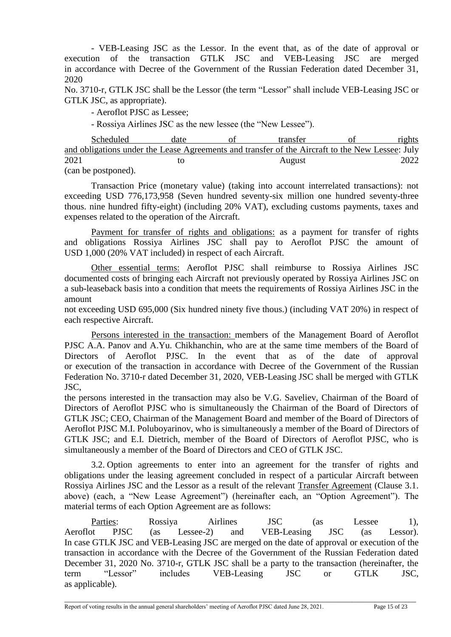- VEB-Leasing JSC as the Lessor. In the event that, as of the date of approval or execution of the transaction GTLK JSC and VEB-Leasing JSC are merged in accordance with Decree of the Government of the Russian Federation dated December 31, 2020

No. 3710-r, GTLK JSC shall be the Lessor (the term "Lessor" shall include VEB-Leasing JSC or GTLK JSC, as appropriate).

- Aeroflot PJSC as Lessee;

- Rossiya Airlines JSC as the new lessee (the "New Lessee").

| Scheduled                                                                                       | date | transfer | rights |
|-------------------------------------------------------------------------------------------------|------|----------|--------|
| and obligations under the Lease Agreements and transfer of the Aircraft to the New Lessee: July |      |          |        |
| 2021                                                                                            | tΟ   | August   | 2022   |
| (can be postponed).                                                                             |      |          |        |

Transaction Price (monetary value) (taking into account interrelated transactions): not exceeding USD 776,173,958 (Seven hundred seventy-six million one hundred seventy-three thous. nine hundred fifty-eight) (including 20% VAT), excluding customs payments, taxes and expenses related to the operation of the Aircraft.

Payment for transfer of rights and obligations: as a payment for transfer of rights and obligations Rossiya Airlines JSC shall pay to Aeroflot PJSC the amount of USD 1,000 (20% VAT included) in respect of each Aircraft.

Other essential terms: Aeroflot PJSC shall reimburse to Rossiya Airlines JSC documented costs of bringing each Aircraft not previously operated by Rossiya Airlines JSC on a sub-leaseback basis into a condition that meets the requirements of Rossiya Airlines JSC in the amount

not exceeding USD 695,000 (Six hundred ninety five thous.) (including VAT 20%) in respect of each respective Aircraft.

Persons interested in the transaction: members of the Management Board of Aeroflot PJSC A.A. Panov and A.Yu. Chikhanchin, who are at the same time members of the Board of Directors of Aeroflot PJSC. In the event that as of the date of approval or execution of the transaction in accordance with Decree of the Government of the Russian Federation No. 3710-r dated December 31, 2020, VEB-Leasing JSC shall be merged with GTLK JSC,

the persons interested in the transaction may also be V.G. Saveliev, Chairman of the Board of Directors of Aeroflot PJSC who is simultaneously the Chairman of the Board of Directors of GTLK JSC; CEO, Chairman of the Management Board and member of the Board of Directors of Aeroflot PJSC M.I. Poluboyarinov, who is simultaneously a member of the Board of Directors of GTLK JSC; and E.I. Dietrich, member of the Board of Directors of Aeroflot PJSC, who is simultaneously a member of the Board of Directors and CEO of GTLK JSC.

3.2. Option agreements to enter into an agreement for the transfer of rights and obligations under the leasing agreement concluded in respect of a particular Aircraft between Rossiya Airlines JSC and the Lessor as a result of the relevant Transfer Agreement (Clause 3.1. above) (each, a "New Lease Agreement") (hereinafter each, an "Option Agreement"). The material terms of each Option Agreement are as follows:

Parties: Rossiya Airlines JSC (as Lessee 1), Aeroflot PJSC (as Lessee-2) and VEB-Leasing JSC (as Lessor). In case GTLK JSC and VEB-Leasing JSC are merged on the date of approval or execution of the transaction in accordance with the Decree of the Government of the Russian Federation dated December 31, 2020 No. 3710-r, GTLK JSC shall be a party to the transaction (hereinafter, the term "Lessor" includes VEB-Leasing JSC or GTLK JSC, as applicable).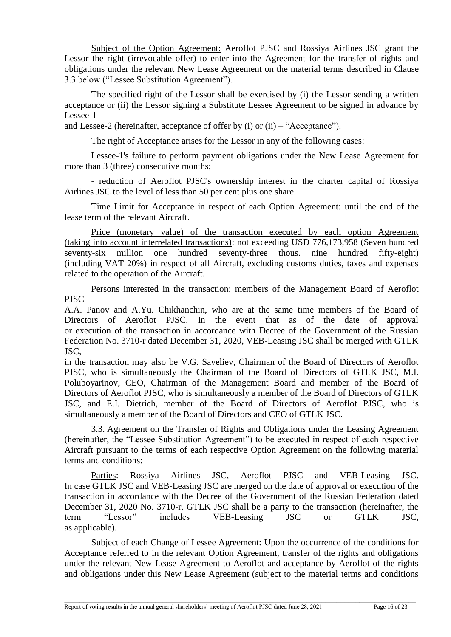Subject of the Option Agreement: Aeroflot PJSC and Rossiya Airlines JSC grant the Lessor the right (irrevocable offer) to enter into the Agreement for the transfer of rights and obligations under the relevant New Lease Agreement on the material terms described in Clause 3.3 below ("Lessee Substitution Agreement").

The specified right of the Lessor shall be exercised by (i) the Lessor sending a written acceptance or (ii) the Lessor signing a Substitute Lessee Agreement to be signed in advance by Lessee-1

and Lessee-2 (hereinafter, acceptance of offer by (i) or (ii) – "Acceptance").

The right of Acceptance arises for the Lessor in any of the following cases:

Lessee-1's failure to perform payment obligations under the New Lease Agreement for more than 3 (three) consecutive months;

- reduction of Aeroflot PJSC's ownership interest in the charter capital of Rossiya Airlines JSC to the level of less than 50 per cent plus one share.

Time Limit for Acceptance in respect of each Option Agreement: until the end of the lease term of the relevant Aircraft.

Price (monetary value) of the transaction executed by each option Agreement (taking into account interrelated transactions): not exceeding USD 776,173,958 (Seven hundred seventy-six million one hundred seventy-three thous. nine hundred fifty-eight) (including VAT 20%) in respect of all Aircraft, excluding customs duties, taxes and expenses related to the operation of the Aircraft.

Persons interested in the transaction: members of the Management Board of Aeroflot PJSC

A.A. Panov and A.Yu. Chikhanchin, who are at the same time members of the Board of Directors of Aeroflot PJSC. In the event that as of the date of approval or execution of the transaction in accordance with Decree of the Government of the Russian Federation No. 3710-r dated December 31, 2020, VEB-Leasing JSC shall be merged with GTLK JSC,

in the transaction may also be V.G. Saveliev, Chairman of the Board of Directors of Aeroflot PJSC, who is simultaneously the Chairman of the Board of Directors of GTLK JSC, M.I. Poluboyarinov, CEO, Chairman of the Management Board and member of the Board of Directors of Aeroflot PJSC, who is simultaneously a member of the Board of Directors of GTLK JSC, and E.I. Dietrich, member of the Board of Directors of Aeroflot PJSC, who is simultaneously a member of the Board of Directors and CEO of GTLK JSC.

3.3. Agreement on the Transfer of Rights and Obligations under the Leasing Agreement (hereinafter, the "Lessee Substitution Agreement") to be executed in respect of each respective Aircraft pursuant to the terms of each respective Option Agreement on the following material terms and conditions:

Parties: Rossiya Airlines JSC, Aeroflot PJSC and VEB-Leasing JSC. In case GTLK JSC and VEB-Leasing JSC are merged on the date of approval or execution of the transaction in accordance with the Decree of the Government of the Russian Federation dated December 31, 2020 No. 3710-r, GTLK JSC shall be a party to the transaction (hereinafter, the term "Lessor" includes VEB-Leasing JSC or GTLK JSC, as applicable).

Subject of each Change of Lessee Agreement: Upon the occurrence of the conditions for Acceptance referred to in the relevant Option Agreement, transfer of the rights and obligations under the relevant New Lease Agreement to Aeroflot and acceptance by Aeroflot of the rights and obligations under this New Lease Agreement (subject to the material terms and conditions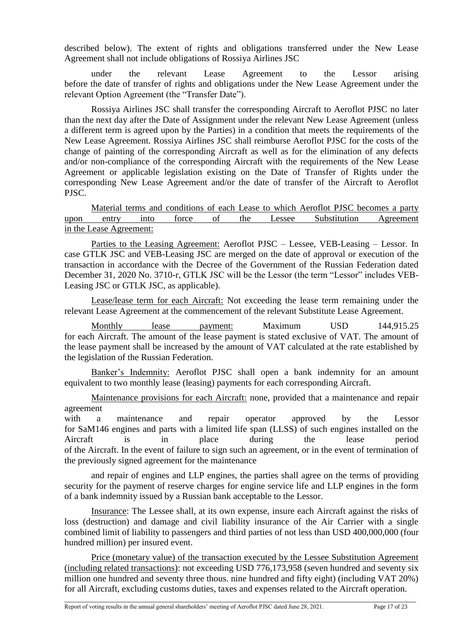described below). The extent of rights and obligations transferred under the New Lease Agreement shall not include obligations of Rossiya Airlines JSC

under the relevant Lease Agreement to the Lessor arising before the date of transfer of rights and obligations under the New Lease Agreement under the relevant Option Agreement (the "Transfer Date").

Rossiya Airlines JSC shall transfer the corresponding Aircraft to Aeroflot PJSC no later than the next day after the Date of Assignment under the relevant New Lease Agreement (unless a different term is agreed upon by the Parties) in a condition that meets the requirements of the New Lease Agreement. Rossiya Airlines JSC shall reimburse Aeroflot PJSC for the costs of the change of painting of the corresponding Aircraft as well as for the elimination of any defects and/or non-compliance of the corresponding Aircraft with the requirements of the New Lease Agreement or applicable legislation existing on the Date of Transfer of Rights under the corresponding New Lease Agreement and/or the date of transfer of the Aircraft to Aeroflot PJSC.

Material terms and conditions of each Lease to which Aeroflot PJSC becomes a party upon entry into force of the Lessee Substitution Agreement in the Lease Agreement:

Parties to the Leasing Agreement: Aeroflot PJSC – Lessee, VEB-Leasing – Lessor. In case GTLK JSC and VEB-Leasing JSC are merged on the date of approval or execution of the transaction in accordance with the Decree of the Government of the Russian Federation dated December 31, 2020 No. 3710-r, GTLK JSC will be the Lessor (the term "Lessor" includes VEB-Leasing JSC or GTLK JSC, as applicable).

Lease/lease term for each Aircraft: Not exceeding the lease term remaining under the relevant Lease Agreement at the commencement of the relevant Substitute Lease Agreement.

Monthly lease payment: Maximum USD 144,915.25 for each Aircraft. The amount of the lease payment is stated exclusive of VAT. The amount of the lease payment shall be increased by the amount of VAT calculated at the rate established by the legislation of the Russian Federation.

Banker's Indemnity: Aeroflot PJSC shall open a bank indemnity for an amount equivalent to two monthly lease (leasing) payments for each corresponding Aircraft.

Maintenance provisions for each Aircraft: none, provided that a maintenance and repair agreement

with a maintenance and repair operator approved by the Lessor for SaM146 engines and parts with a limited life span (LLSS) of such engines installed on the Aircraft is in place during the lease period of the Aircraft. In the event of failure to sign such an agreement, or in the event of termination of the previously signed agreement for the maintenance

and repair of engines and LLP engines, the parties shall agree on the terms of providing security for the payment of reserve charges for engine service life and LLP engines in the form of a bank indemnity issued by a Russian bank acceptable to the Lessor.

Insurance: The Lessee shall, at its own expense, insure each Aircraft against the risks of loss (destruction) and damage and civil liability insurance of the Air Carrier with a single combined limit of liability to passengers and third parties of not less than USD 400,000,000 (four hundred million) per insured event.

Price (monetary value) of the transaction executed by the Lessee Substitution Agreement (including related transactions): not exceeding USD 776,173,958 (seven hundred and seventy six million one hundred and seventy three thous. nine hundred and fifty eight) (including VAT 20%) for all Aircraft, excluding customs duties, taxes and expenses related to the Aircraft operation.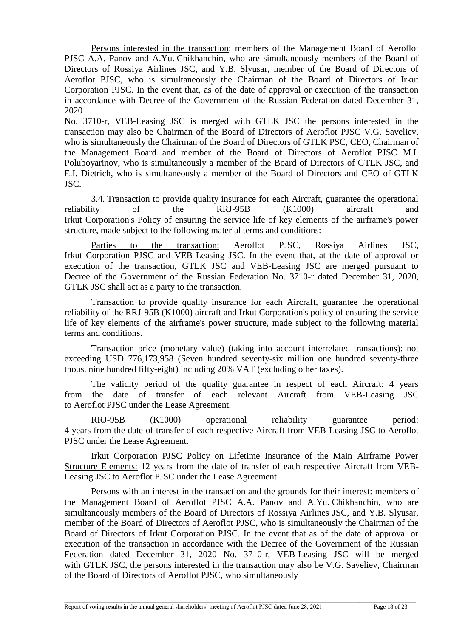Persons interested in the transaction: members of the Management Board of Aeroflot PJSC A.A. Panov and A.Yu. Chikhanchin, who are simultaneously members of the Board of Directors of Rossiya Airlines JSC, and Y.B. Slyusar, member of the Board of Directors of Aeroflot PJSC, who is simultaneously the Chairman of the Board of Directors of Irkut Corporation PJSC. In the event that, as of the date of approval or execution of the transaction in accordance with Decree of the Government of the Russian Federation dated December 31, 2020

No. 3710-r, VEB-Leasing JSC is merged with GTLK JSC the persons interested in the transaction may also be Chairman of the Board of Directors of Aeroflot PJSC V.G. Saveliev, who is simultaneously the Chairman of the Board of Directors of GTLK PSC, CEO, Chairman of the Management Board and member of the Board of Directors of Aeroflot PJSC M.I. Poluboyarinov, who is simultaneously a member of the Board of Directors of GTLK JSC, and E.I. Dietrich, who is simultaneously a member of the Board of Directors and CEO of GTLK JSC.

3.4. Transaction to provide quality insurance for each Aircraft, guarantee the operational reliability of the RRJ-95B (K1000) aircraft and Irkut Corporation's Policy of ensuring the service life of key elements of the airframe's power structure, made subject to the following material terms and conditions:

Parties to the transaction: Aeroflot PJSC, Rossiya Airlines JSC, Irkut Corporation PJSC and VEB-Leasing JSC. In the event that, at the date of approval or execution of the transaction, GTLK JSC and VEB-Leasing JSC are merged pursuant to Decree of the Government of the Russian Federation No. 3710-r dated December 31, 2020, GTLK JSC shall act as a party to the transaction.

Transaction to provide quality insurance for each Aircraft, guarantee the operational reliability of the RRJ-95B (K1000) aircraft and Irkut Corporation's policy of ensuring the service life of key elements of the airframe's power structure, made subject to the following material terms and conditions.

Transaction price (monetary value) (taking into account interrelated transactions): not exceeding USD 776,173,958 (Seven hundred seventy-six million one hundred seventy-three thous. nine hundred fifty-eight) including 20% VAT (excluding other taxes).

The validity period of the quality guarantee in respect of each Aircraft: 4 years from the date of transfer of each relevant Aircraft from VEB-Leasing JSC to Aeroflot PJSC under the Lease Agreement.

RRJ-95B (K1000) operational reliability guarantee period: 4 years from the date of transfer of each respective Aircraft from VEB-Leasing JSC to Aeroflot PJSC under the Lease Agreement.

Irkut Corporation PJSC Policy on Lifetime Insurance of the Main Airframe Power Structure Elements: 12 years from the date of transfer of each respective Aircraft from VEB-Leasing JSC to Aeroflot PJSC under the Lease Agreement.

Persons with an interest in the transaction and the grounds for their interest: members of the Management Board of Aeroflot PJSC A.A. Panov and A.Yu. Chikhanchin, who are simultaneously members of the Board of Directors of Rossiya Airlines JSC, and Y.B. Slyusar, member of the Board of Directors of Aeroflot PJSC, who is simultaneously the Chairman of the Board of Directors of Irkut Corporation PJSC. In the event that as of the date of approval or execution of the transaction in accordance with the Decree of the Government of the Russian Federation dated December 31, 2020 No. 3710-r, VEB-Leasing JSC will be merged with GTLK JSC, the persons interested in the transaction may also be V.G. Saveliev, Chairman of the Board of Directors of Aeroflot PJSC, who simultaneously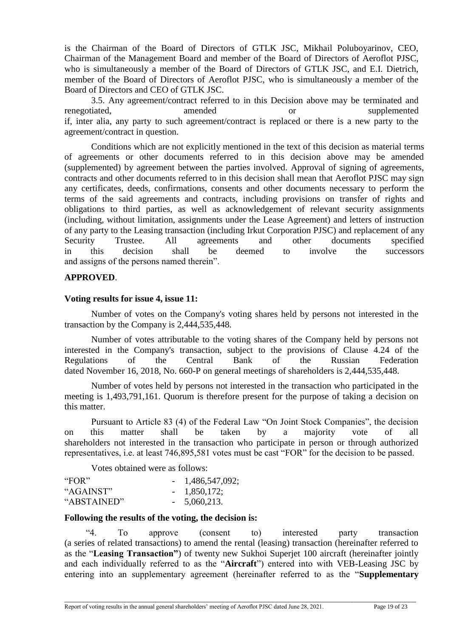is the Chairman of the Board of Directors of GTLK JSC, Mikhail Poluboyarinov, CEO, Chairman of the Management Board and member of the Board of Directors of Aeroflot PJSC, who is simultaneously a member of the Board of Directors of GTLK JSC, and E.I. Dietrich, member of the Board of Directors of Aeroflot PJSC, who is simultaneously a member of the Board of Directors and CEO of GTLK JSC.

3.5. Any agreement/contract referred to in this Decision above may be terminated and renegotiated, amended or supplemented supplemented supplemented supplemented supplemented supplemented supplemented supplemented supplemented supplemented supplemented supplemented supplemented supplemented supplemented su if, inter alia, any party to such agreement/contract is replaced or there is a new party to the agreement/contract in question.

Conditions which are not explicitly mentioned in the text of this decision as material terms of agreements or other documents referred to in this decision above may be amended (supplemented) by agreement between the parties involved. Approval of signing of agreements, contracts and other documents referred to in this decision shall mean that Aeroflot PJSC may sign any certificates, deeds, confirmations, consents and other documents necessary to perform the terms of the said agreements and contracts, including provisions on transfer of rights and obligations to third parties, as well as acknowledgement of relevant security assignments (including, without limitation, assignments under the Lease Agreement) and letters of instruction of any party to the Leasing transaction (including Irkut Corporation PJSC) and replacement of any Security Trustee. All agreements and other documents specified in this decision shall be deemed to involve the successors and assigns of the persons named therein".

## **APPROVED**.

## **Voting results for issue 4, issue 11:**

Number of votes on the Company's voting shares held by persons not interested in the transaction by the Company is 2,444,535,448.

Number of votes attributable to the voting shares of the Company held by persons not interested in the Company's transaction, subject to the provisions of Clause 4.24 of the Regulations of the Central Bank of the Russian Federation dated November 16, 2018, No. 660-P on general meetings of shareholders is 2,444,535,448.

Number of votes held by persons not interested in the transaction who participated in the meeting is 1,493,791,161. Quorum is therefore present for the purpose of taking a decision on this matter.

Pursuant to Article 83 (4) of the Federal Law "On Joint Stock Companies", the decision on this matter shall be taken by a majority vote of all shareholders not interested in the transaction who participate in person or through authorized representatives, i.e. at least 746,895,581 votes must be cast "FOR" for the decision to be passed.

Votes obtained were as follows:

| "FOR"       | $-1,486,547,092;$ |
|-------------|-------------------|
| "AGAINST"   | $-1,850,172;$     |
| "ABSTAINED" | $-5,060,213.$     |

#### **Following the results of the voting, the decision is:**

"4. To approve (consent to) interested party transaction (a series of related transactions) to amend the rental (leasing) transaction (hereinafter referred to as the "**Leasing Transaction"**) of twenty new Sukhoi Superjet 100 aircraft (hereinafter jointly and each individually referred to as the "**Aircraft**") entered into with VEB-Leasing JSC by entering into an supplementary agreement (hereinafter referred to as the "**Supplementary**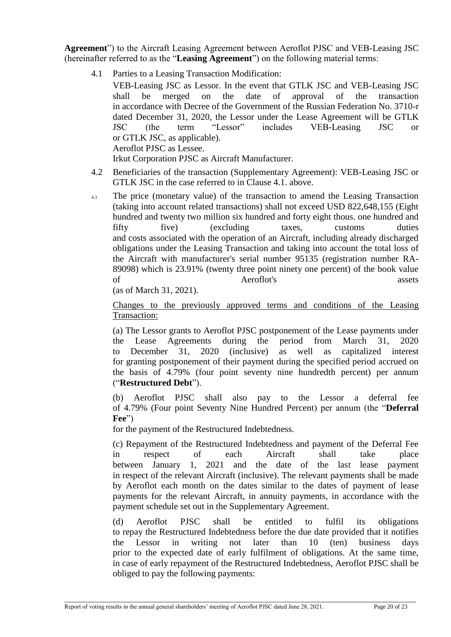**Agreement**") to the Aircraft Leasing Agreement between Aeroflot PJSC and VEB-Leasing JSC (hereinafter referred to as the "**Leasing Agreement**") on the following material terms:

4.1 Parties to a Leasing Transaction Modification:

VEB-Leasing JSC as Lessor. In the event that GTLK JSC and VEB-Leasing JSC shall be merged on the date of approval of the transaction in accordance with Decree of the Government of the Russian Federation No. 3710-r dated December 31, 2020, the Lessor under the Lease Agreement will be GTLK JSC (the term "Lessor" includes VEB-Leasing JSC or or GTLK JSC, as applicable). Aeroflot PJSC as Lessee.

Irkut Corporation PJSC as Aircraft Manufacturer.

- 4.2 Beneficiaries of the transaction (Supplementary Agreement): VEB-Leasing JSC or GTLK JSC in the case referred to in Clause 4.1. above.
- 4.3 The price (monetary value) of the transaction to amend the Leasing Transaction (taking into account related transactions) shall not exceed USD 822,648,155 (Eight hundred and twenty two million six hundred and forty eight thous. one hundred and fifty five) (excluding taxes, customs duties and costs associated with the operation of an Aircraft, including already discharged obligations under the Leasing Transaction and taking into account the total loss of the Aircraft with manufacturer's serial number 95135 (registration number RA-89098) which is 23.91% (twenty three point ninety one percent) of the book value of Aeroflot's assets

(as of March 31, 2021).

Changes to the previously approved terms and conditions of the Leasing Transaction:

(a) The Lessor grants to Aeroflot PJSC postponement of the Lease payments under the Lease Agreements during the period from March 31, 2020 to December 31, 2020 (inclusive) as well as capitalized interest for granting postponement of their payment during the specified period accrued on the basis of 4.79% (four point seventy nine hundredth percent) per annum ("**Restructured Debt**").

(b) Aeroflot PJSC shall also pay to the Lessor a deferral fee of 4.79% (Four point Seventy Nine Hundred Percent) per annum (the "**Deferral Fee**")

for the payment of the Restructured Indebtedness.

(c) Repayment of the Restructured Indebtedness and payment of the Deferral Fee in respect of each Aircraft shall take place between January 1, 2021 and the date of the last lease payment in respect of the relevant Aircraft (inclusive). The relevant payments shall be made by Aeroflot each month on the dates similar to the dates of payment of lease payments for the relevant Aircraft, in annuity payments, in accordance with the payment schedule set out in the Supplementary Agreement.

(d) Aeroflot PJSC shall be entitled to fulfil its obligations to repay the Restructured Indebtedness before the due date provided that it notifies the Lessor in writing not later than 10 (ten) business days prior to the expected date of early fulfilment of obligations. At the same time, in case of early repayment of the Restructured Indebtedness, Aeroflot PJSC shall be obliged to pay the following payments: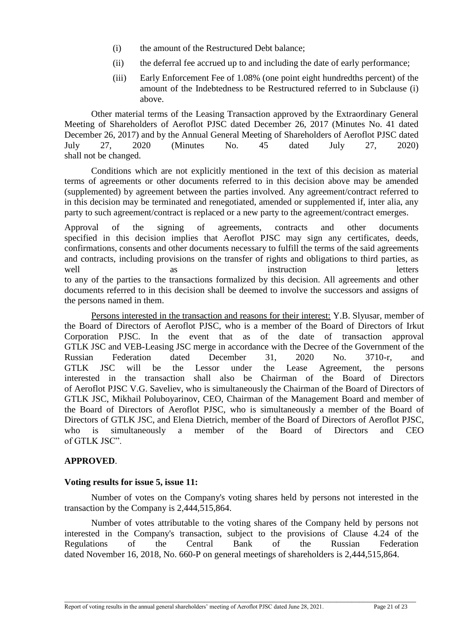- (i) the amount of the Restructured Debt balance;
- (ii) the deferral fee accrued up to and including the date of early performance;
- (iii) Early Enforcement Fee of 1.08% (one point eight hundredths percent) of the amount of the Indebtedness to be Restructured referred to in Subclause (i) above.

Other material terms of the Leasing Transaction approved by the Extraordinary General Meeting of Shareholders of Aeroflot PJSC dated December 26, 2017 (Minutes No. 41 dated December 26, 2017) and by the Annual General Meeting of Shareholders of Aeroflot PJSC dated July 27, 2020 (Minutes No. 45 dated July 27, 2020) shall not be changed.

Conditions which are not explicitly mentioned in the text of this decision as material terms of agreements or other documents referred to in this decision above may be amended (supplemented) by agreement between the parties involved. Any agreement/contract referred to in this decision may be terminated and renegotiated, amended or supplemented if, inter alia, any party to such agreement/contract is replaced or a new party to the agreement/contract emerges.

Approval of the signing of agreements, contracts and other documents specified in this decision implies that Aeroflot PJSC may sign any certificates, deeds, confirmations, consents and other documents necessary to fulfill the terms of the said agreements and contracts, including provisions on the transfer of rights and obligations to third parties, as well as a instruction letters to any of the parties to the transactions formalized by this decision. All agreements and other documents referred to in this decision shall be deemed to involve the successors and assigns of the persons named in them.

Persons interested in the transaction and reasons for their interest: Y.B. Slyusar, member of the Board of Directors of Aeroflot PJSC, who is a member of the Board of Directors of Irkut Corporation PJSC. In the event that as of the date of transaction approval GTLK JSC and VEB-Leasing JSC merge in accordance with the Decree of the Government of the Russian Federation dated December 31, 2020 No. 3710-r, and GTLK JSC will be the Lessor under the Lease Agreement, the persons interested in the transaction shall also be Chairman of the Board of Directors of Aeroflot PJSC V.G. Saveliev, who is simultaneously the Chairman of the Board of Directors of GTLK JSC, Mikhail Poluboyarinov, CEO, Chairman of the Management Board and member of the Board of Directors of Aeroflot PJSC, who is simultaneously a member of the Board of Directors of GTLK JSC, and Elena Dietrich, member of the Board of Directors of Aeroflot PJSC, who is simultaneously a member of the Board of Directors and CEO of GTLK JSC".

## **APPROVED**.

## **Voting results for issue 5, issue 11:**

Number of votes on the Company's voting shares held by persons not interested in the transaction by the Company is 2,444,515,864.

Number of votes attributable to the voting shares of the Company held by persons not interested in the Company's transaction, subject to the provisions of Clause 4.24 of the Regulations of the Central Bank of the Russian Federation dated November 16, 2018, No. 660-P on general meetings of shareholders is 2,444,515,864.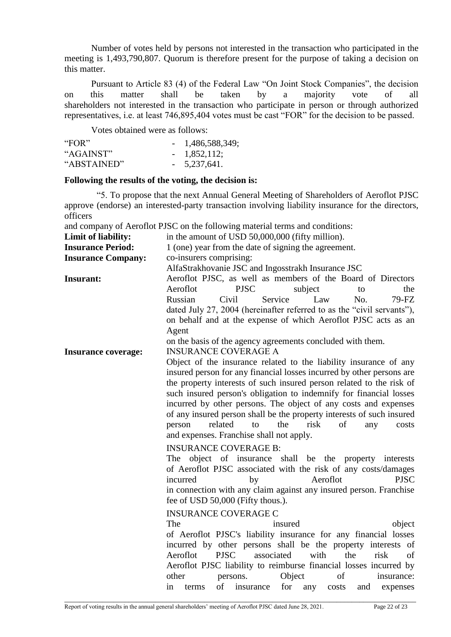Number of votes held by persons not interested in the transaction who participated in the meeting is 1,493,790,807. Quorum is therefore present for the purpose of taking a decision on this matter.

Pursuant to Article 83 (4) of the Federal Law "On Joint Stock Companies", the decision on this matter shall be taken by a majority vote of all shareholders not interested in the transaction who participate in person or through authorized representatives, i.e. at least 746,895,404 votes must be cast "FOR" for the decision to be passed.

Votes obtained were as follows:

| "FOR"       | $-1,486,588,349;$ |
|-------------|-------------------|
| "AGAINST"   | $-1,852,112;$     |
| "ABSTAINED" | $-5,237,641.$     |

#### **Following the results of the voting, the decision is:**

"5. To propose that the next Annual General Meeting of Shareholders of Aeroflot PJSC approve (endorse) an interested-party transaction involving liability insurance for the directors, officers

and company of Aeroflot PJSC on the following material terms and conditions:

| Limit of liability:        | in the amount of USD 50,000,000 (fifty million).                         |
|----------------------------|--------------------------------------------------------------------------|
| <b>Insurance Period:</b>   | 1 (one) year from the date of signing the agreement.                     |
| <b>Insurance Company:</b>  | co-insurers comprising:                                                  |
|                            | AlfaStrakhovanie JSC and Ingosstrakh Insurance JSC                       |
| Insurant:                  | Aeroflot PJSC, as well as members of the Board of Directors              |
|                            | <b>PJSC</b><br>Aeroflot<br>subject<br>the<br>to                          |
|                            | Russian<br>Service<br>Civil<br>Law<br>No.<br>79-FZ                       |
|                            | dated July 27, 2004 (hereinafter referred to as the "civil servants"),   |
|                            | on behalf and at the expense of which Aeroflot PJSC acts as an           |
|                            | Agent                                                                    |
|                            | on the basis of the agency agreements concluded with them.               |
| <b>Insurance coverage:</b> | <b>INSURANCE COVERAGE A</b>                                              |
|                            | Object of the insurance related to the liability insurance of any        |
|                            | insured person for any financial losses incurred by other persons are    |
|                            | the property interests of such insured person related to the risk of     |
|                            | such insured person's obligation to indemnify for financial losses       |
|                            | incurred by other persons. The object of any costs and expenses          |
|                            | of any insured person shall be the property interests of such insured    |
|                            | related<br>the<br>risk<br>of<br>person<br>to<br>costs<br>any             |
|                            | and expenses. Franchise shall not apply.                                 |
|                            | <b>INSURANCE COVERAGE B:</b>                                             |
|                            | The object of insurance shall be the property interests                  |
|                            | of Aeroflot PJSC associated with the risk of any costs/damages           |
|                            | Aeroflot<br>incurred<br><b>PJSC</b><br>by                                |
|                            | in connection with any claim against any insured person. Franchise       |
|                            | fee of USD 50,000 (Fifty thous.).                                        |
|                            | <b>INSURANCE COVERAGE C</b>                                              |
|                            | The<br>insured<br>object                                                 |
|                            | of Aeroflot PJSC's liability insurance for any financial losses          |
|                            | incurred by other persons shall be the property interests of             |
|                            | Aeroflot<br><b>PJSC</b><br>with<br>associated<br>the<br>risk<br>of       |
|                            | Aeroflot PJSC liability to reimburse financial losses incurred by        |
|                            | other<br>Object<br>of<br>insurance:<br>persons.                          |
|                            | of<br>for<br>insurance<br>in<br>terms<br>any<br>costs<br>and<br>expenses |